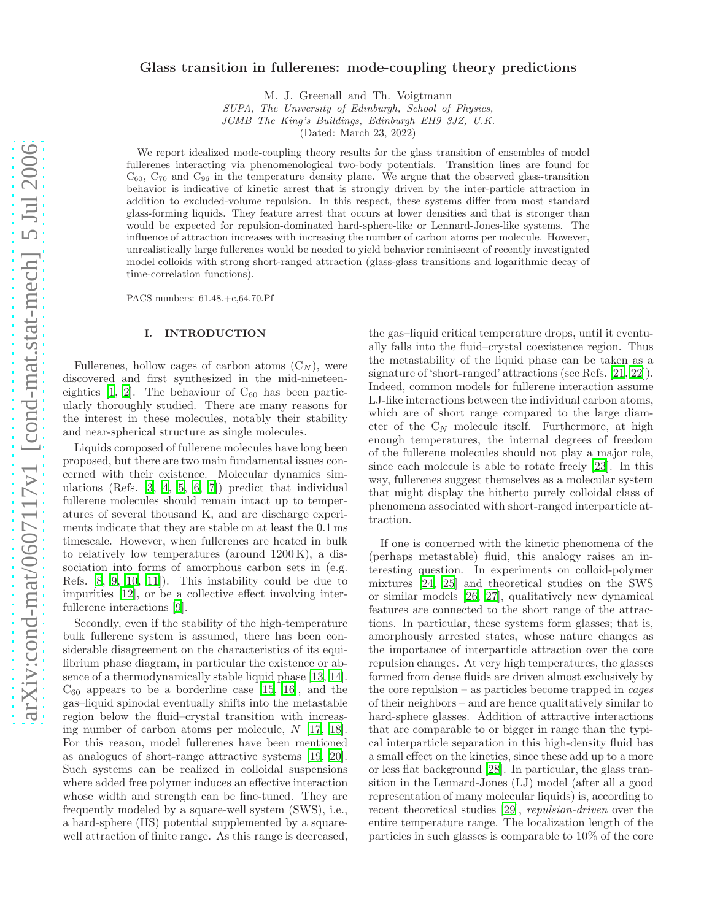# Glass transition in fullerenes: mode-coupling theory predictions

M. J. Greenall and Th. Voigtmann

SUPA, The University of Edinburgh, School of Physics,

JCMB The King's Buildings, Edinburgh EH9 3JZ, U.K.

(Dated: March 23, 2022)

We report idealized mode-coupling theory results for the glass transition of ensembles of model fullerenes interacting via phenomenological two-body potentials. Transition lines are found for  $C_{60}$ ,  $C_{70}$  and  $C_{96}$  in the temperature–density plane. We argue that the observed glass-transition behavior is indicative of kinetic arrest that is strongly driven by the inter-particle attraction in addition to excluded-volume repulsion. In this respect, these systems differ from most standard glass-forming liquids. They feature arrest that occurs at lower densities and that is stronger than would be expected for repulsion-dominated hard-sphere-like or Lennard-Jones-like systems. The influence of attraction increases with increasing the number of carbon atoms per molecule. However, unrealistically large fullerenes would be needed to yield behavior reminiscent of recently investigated model colloids with strong short-ranged attraction (glass-glass transitions and logarithmic decay of time-correlation functions).

PACS numbers: 61.48.+c,64.70.Pf

## I. INTRODUCTION

Fullerenes, hollow cages of carbon atoms  $(C_N)$ , were discovered and first synthesized in the mid-nineteeneighties  $[1, 2]$  $[1, 2]$  $[1, 2]$ . The behaviour of  $C_{60}$  has been particularly thoroughly studied. There are many reasons for the interest in these molecules, notably their stability and near-spherical structure as single molecules.

Liquids composed of fullerene molecules have long been proposed, but there are two main fundamental issues concerned with their existence. Molecular dynamics simulations (Refs. [\[3,](#page-8-2) [4,](#page-8-3) [5](#page-8-4), [6,](#page-8-5) [7\]](#page-8-6)) predict that individual fullerene molecules should remain intact up to temperatures of several thousand K, and arc discharge experiments indicate that they are stable on at least the 0.1 ms timescale. However, when fullerenes are heated in bulk to relatively low temperatures (around 1200 K), a dissociation into forms of amorphous carbon sets in (e.g. Refs. [\[8,](#page-8-7) [9,](#page-9-0) [10,](#page-9-1) [11\]](#page-9-2)). This instability could be due to impurities [\[12\]](#page-9-3), or be a collective effect involving interfullerene interactions [\[9\]](#page-9-0).

Secondly, even if the stability of the high-temperature bulk fullerene system is assumed, there has been considerable disagreement on the characteristics of its equilibrium phase diagram, in particular the existence or absence of a thermodynamically stable liquid phase [\[13](#page-9-4), [14\]](#page-9-5).  $C_{60}$  appears to be a borderline case [\[15,](#page-9-6) [16\]](#page-9-7), and the gas–liquid spinodal eventually shifts into the metastable region below the fluid–crystal transition with increasing number of carbon atoms per molecule,  $N$  [\[17](#page-9-8), [18\]](#page-9-9). For this reason, model fullerenes have been mentioned as analogues of short-range attractive systems [\[19](#page-9-10), [20\]](#page-9-11). Such systems can be realized in colloidal suspensions where added free polymer induces an effective interaction whose width and strength can be fine-tuned. They are frequently modeled by a square-well system (SWS), i.e., a hard-sphere (HS) potential supplemented by a squarewell attraction of finite range. As this range is decreased,

the gas–liquid critical temperature drops, until it eventually falls into the fluid–crystal coexistence region. Thus the metastability of the liquid phase can be taken as a signature of 'short-ranged' attractions (see Refs. [\[21](#page-9-12), [22\]](#page-9-13)). Indeed, common models for fullerene interaction assume LJ-like interactions between the individual carbon atoms, which are of short range compared to the large diameter of the  $C_N$  molecule itself. Furthermore, at high enough temperatures, the internal degrees of freedom of the fullerene molecules should not play a major role, since each molecule is able to rotate freely [\[23\]](#page-9-14). In this way, fullerenes suggest themselves as a molecular system that might display the hitherto purely colloidal class of phenomena associated with short-ranged interparticle attraction.

If one is concerned with the kinetic phenomena of the (perhaps metastable) fluid, this analogy raises an interesting question. In experiments on colloid-polymer mixtures [\[24,](#page-9-15) [25](#page-9-16)] and theoretical studies on the SWS or similar models [\[26,](#page-9-17) [27\]](#page-9-18), qualitatively new dynamical features are connected to the short range of the attractions. In particular, these systems form glasses; that is, amorphously arrested states, whose nature changes as the importance of interparticle attraction over the core repulsion changes. At very high temperatures, the glasses formed from dense fluids are driven almost exclusively by the core repulsion – as particles become trapped in cages of their neighbors – and are hence qualitatively similar to hard-sphere glasses. Addition of attractive interactions that are comparable to or bigger in range than the typical interparticle separation in this high-density fluid has a small effect on the kinetics, since these add up to a more or less flat background [\[28](#page-9-19)]. In particular, the glass transition in the Lennard-Jones (LJ) model (after all a good representation of many molecular liquids) is, according to recent theoretical studies [\[29\]](#page-9-20), repulsion-driven over the entire temperature range. The localization length of the particles in such glasses is comparable to 10% of the core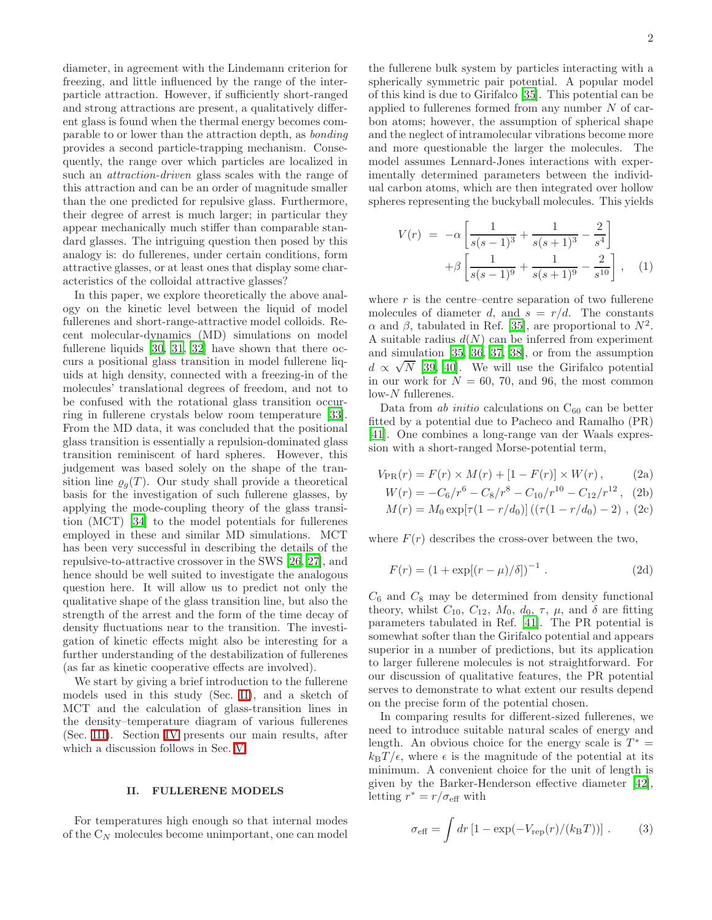diameter, in agreement with the Lindemann criterion for freezing, and little influenced by the range of the interparticle attraction. However, if sufficiently short-ranged and strong attractions are present, a qualitatively different glass is found when the thermal energy becomes comparable to or lower than the attraction depth, as bonding provides a second particle-trapping mechanism. Consequently, the range over which particles are localized in such an attraction-driven glass scales with the range of this attraction and can be an order of magnitude smaller than the one predicted for repulsive glass. Furthermore, their degree of arrest is much larger; in particular they appear mechanically much stiffer than comparable standard glasses. The intriguing question then posed by this analogy is: do fullerenes, under certain conditions, form attractive glasses, or at least ones that display some characteristics of the colloidal attractive glasses?

In this paper, we explore theoretically the above analogy on the kinetic level between the liquid of model fullerenes and short-range-attractive model colloids. Recent molecular-dynamics (MD) simulations on model fullerene liquids [\[30,](#page-9-21) [31,](#page-9-22) [32](#page-9-23)] have shown that there occurs a positional glass transition in model fullerene liquids at high density, connected with a freezing-in of the molecules' translational degrees of freedom, and not to be confused with the rotational glass transition occurring in fullerene crystals below room temperature [\[33\]](#page-9-24). From the MD data, it was concluded that the positional glass transition is essentially a repulsion-dominated glass transition reminiscent of hard spheres. However, this judgement was based solely on the shape of the transition line  $\varrho_q(T)$ . Our study shall provide a theoretical basis for the investigation of such fullerene glasses, by applying the mode-coupling theory of the glass transition (MCT) [\[34](#page-9-25)] to the model potentials for fullerenes employed in these and similar MD simulations. MCT has been very successful in describing the details of the repulsive-to-attractive crossover in the SWS [\[26](#page-9-17), [27\]](#page-9-18), and hence should be well suited to investigate the analogous question here. It will allow us to predict not only the qualitative shape of the glass transition line, but also the strength of the arrest and the form of the time decay of density fluctuations near to the transition. The investigation of kinetic effects might also be interesting for a further understanding of the destabilization of fullerenes (as far as kinetic cooperative effects are involved).

We start by giving a brief introduction to the fullerene models used in this study (Sec. [II\)](#page-1-0), and a sketch of MCT and the calculation of glass-transition lines in the density–temperature diagram of various fullerenes (Sec. [III\)](#page-2-0). Section [IV](#page-4-0) presents our main results, after which a discussion follows in Sec. [V.](#page-7-0)

## II. FULLERENE MODELS

<span id="page-1-0"></span>For temperatures high enough so that internal modes of the  $C_N$  molecules become unimportant, one can model

the fullerene bulk system by particles interacting with a spherically symmetric pair potential. A popular model of this kind is due to Girifalco [\[35\]](#page-9-26). This potential can be applied to fullerenes formed from any number  $N$  of carbon atoms; however, the assumption of spherical shape and the neglect of intramolecular vibrations become more and more questionable the larger the molecules. The model assumes Lennard-Jones interactions with experimentally determined parameters between the individual carbon atoms, which are then integrated over hollow spheres representing the buckyball molecules. This yields

$$
V(r) = -\alpha \left[ \frac{1}{s(s-1)^3} + \frac{1}{s(s+1)^3} - \frac{2}{s^4} \right] + \beta \left[ \frac{1}{s(s-1)^9} + \frac{1}{s(s+1)^9} - \frac{2}{s^{10}} \right], \quad (1)
$$

where  $r$  is the centre–centre separation of two fullerene molecules of diameter d, and  $s = r/d$ . The constants  $\alpha$  and  $\beta$ , tabulated in Ref. [\[35\]](#page-9-26), are proportional to  $N^2$ . A suitable radius  $d(N)$  can be inferred from experiment and simulation [\[35,](#page-9-26) [36](#page-9-27), [37,](#page-9-28) [38\]](#page-9-29), or from the assumption  $\frac{d}{dx} \propto \sqrt{N}$  [\[39,](#page-9-30) [40](#page-9-31)]. We will use the Girifalco potential in our work for  $N = 60, 70,$  and 96, the most common low-N fullerenes.

Data from  $ab$  *initio* calculations on  $C_{60}$  can be better fitted by a potential due to Pacheco and Ramalho (PR) [\[41\]](#page-9-32). One combines a long-range van der Waals expression with a short-ranged Morse-potential term,

$$
V_{\rm PR}(r) = F(r) \times M(r) + [1 - F(r)] \times W(r), \qquad (2a)
$$

$$
W(r) = -C_6/r^6 - C_8/r^8 - C_{10}/r^{10} - C_{12}/r^{12},
$$
 (2b)

$$
M(r) = M_0 \exp[\tau (1 - r/d_0)] ((\tau (1 - r/d_0) - 2) , (2c)
$$

where  $F(r)$  describes the cross-over between the two,

$$
F(r) = (1 + \exp[(r - \mu)/\delta])^{-1}.
$$
 (2d)

 $C_6$  and  $C_8$  may be determined from density functional theory, whilst  $C_{10}$ ,  $C_{12}$ ,  $M_0$ ,  $d_0$ ,  $\tau$ ,  $\mu$ , and  $\delta$  are fitting parameters tabulated in Ref. [\[41\]](#page-9-32). The PR potential is somewhat softer than the Girifalco potential and appears superior in a number of predictions, but its application to larger fullerene molecules is not straightforward. For our discussion of qualitative features, the PR potential serves to demonstrate to what extent our results depend on the precise form of the potential chosen.

In comparing results for different-sized fullerenes, we need to introduce suitable natural scales of energy and length. An obvious choice for the energy scale is  $T^* =$  $k_BT/\epsilon$ , where  $\epsilon$  is the magnitude of the potential at its minimum. A convenient choice for the unit of length is given by the Barker-Henderson effective diameter [\[42\]](#page-9-33), letting  $r^* = r/\sigma_{\text{eff}}$  with

<span id="page-1-1"></span>
$$
\sigma_{\text{eff}} = \int dr \left[ 1 - \exp(-V_{\text{rep}}(r)/(k_{\text{B}}T)) \right]. \tag{3}
$$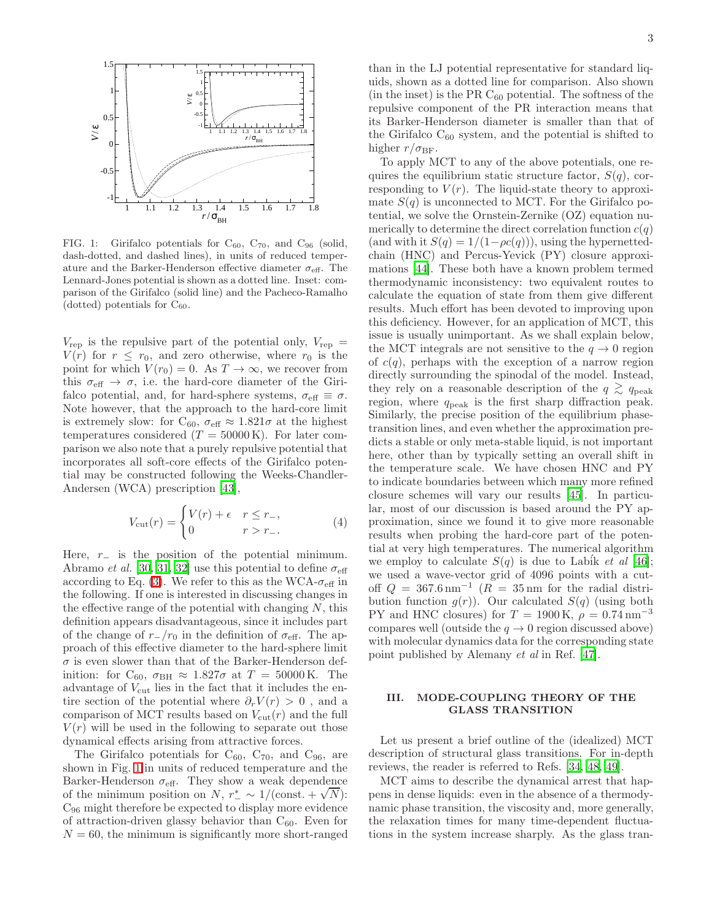

<span id="page-2-1"></span>FIG. 1: Girifalco potentials for  $C_{60}$ ,  $C_{70}$ , and  $C_{96}$  (solid, dash-dotted, and dashed lines), in units of reduced temperature and the Barker-Henderson effective diameter  $\sigma_{\text{eff}}$ . The Lennard-Jones potential is shown as a dotted line. Inset: comparison of the Girifalco (solid line) and the Pacheco-Ramalho (dotted) potentials for  $C_{60}$ .

 $V_{\text{rep}}$  is the repulsive part of the potential only,  $V_{\text{rep}} =$  $V(r)$  for  $r \leq r_0$ , and zero otherwise, where  $r_0$  is the point for which  $V(r_0) = 0$ . As  $T \to \infty$ , we recover from this  $\sigma_{\text{eff}} \rightarrow \sigma$ , i.e. the hard-core diameter of the Girifalco potential, and, for hard-sphere systems,  $\sigma_{\text{eff}} \equiv \sigma$ . Note however, that the approach to the hard-core limit is extremely slow: for C<sub>60</sub>,  $\sigma_{\text{eff}} \approx 1.821\sigma$  at the highest temperatures considered  $(T = 50000 \text{ K})$ . For later comparison we also note that a purely repulsive potential that incorporates all soft-core effects of the Girifalco potential may be constructed following the Weeks-Chandler-Andersen (WCA) prescription [\[43](#page-9-34)],

<span id="page-2-2"></span>
$$
V_{\rm cut}(r) = \begin{cases} V(r) + \epsilon & r \le r_-, \\ 0 & r > r_-. \end{cases}
$$
 (4)

Here,  $r_$  is the position of the potential minimum. Abramo et al. [\[30,](#page-9-21) [31](#page-9-22), [32](#page-9-23)] use this potential to define  $\sigma_{\text{eff}}$ according to Eq. [\(3\)](#page-1-1). We refer to this as the WCA- $\sigma_{\text{eff}}$  in the following. If one is interested in discussing changes in the effective range of the potential with changing  $N$ , this definition appears disadvantageous, since it includes part of the change of  $r_{-}/r_0$  in the definition of  $\sigma_{\text{eff}}$ . The approach of this effective diameter to the hard-sphere limit  $\sigma$  is even slower than that of the Barker-Henderson definition: for C<sub>60</sub>,  $\sigma_{BH} \approx 1.827\sigma$  at  $T = 50000$  K. The advantage of  $V_{\text{cut}}$  lies in the fact that it includes the entire section of the potential where  $\partial_r V(r) > 0$ , and a comparison of MCT results based on  $V_{\text{cut}}(r)$  and the full  $V(r)$  will be used in the following to separate out those dynamical effects arising from attractive forces.

The Girifalco potentials for  $C_{60}$ ,  $C_{70}$ , and  $C_{96}$ , are shown in Fig. [1](#page-2-1) in units of reduced temperature and the Barker-Henderson  $\sigma_{\text{eff}}$ . They show a weak dependence  $D$  the minimum position on N,  $r^*$  ~ 1/(const. +  $\sqrt{N}$ ): C<sup>96</sup> might therefore be expected to display more evidence of attraction-driven glassy behavior than  $C_{60}$ . Even for  $N = 60$ , the minimum is significantly more short-ranged

than in the LJ potential representative for standard liquids, shown as a dotted line for comparison. Also shown  $(in the inset)$  is the PR  $C_{60}$  potential. The softness of the repulsive component of the PR interaction means that its Barker-Henderson diameter is smaller than that of the Girifalco  $C_{60}$  system, and the potential is shifted to higher  $r/\sigma_{\rm BF}$ .

To apply MCT to any of the above potentials, one requires the equilibrium static structure factor,  $S(q)$ , corresponding to  $V(r)$ . The liquid-state theory to approximate  $S(q)$  is unconnected to MCT. For the Girifalco potential, we solve the Ornstein-Zernike (OZ) equation numerically to determine the direct correlation function  $c(q)$ (and with it  $S(q) = 1/(1-\rho c(q))$ ), using the hypernettedchain (HNC) and Percus-Yevick (PY) closure approximations [\[44\]](#page-9-35). These both have a known problem termed thermodynamic inconsistency: two equivalent routes to calculate the equation of state from them give different results. Much effort has been devoted to improving upon this deficiency. However, for an application of MCT, this issue is usually unimportant. As we shall explain below, the MCT integrals are not sensitive to the  $q \to 0$  region of  $c(q)$ , perhaps with the exception of a narrow region directly surrounding the spinodal of the model. Instead, they rely on a reasonable description of the  $q \geq q_{\text{peak}}$ region, where  $q_{\rm peak}$  is the first sharp diffraction peak. Similarly, the precise position of the equilibrium phasetransition lines, and even whether the approximation predicts a stable or only meta-stable liquid, is not important here, other than by typically setting an overall shift in the temperature scale. We have chosen HNC and PY to indicate boundaries between which many more refined closure schemes will vary our results [\[45\]](#page-9-36). In particular, most of our discussion is based around the PY approximation, since we found it to give more reasonable results when probing the hard-core part of the potential at very high temperatures. The numerical algorithm we employ to calculate  $S(q)$  is due to Labik *et al* [\[46\]](#page-9-37); we used a wave-vector grid of 4096 points with a cutoff  $Q = 367.6 \text{ nm}^{-1}$  ( $R = 35 \text{ nm}$  for the radial distribution function  $g(r)$ ). Our calculated  $S(q)$  (using both PY and HNC closures) for  $T = 1900 \text{ K}, \rho = 0.74 \text{ nm}^{-3}$ compares well (outside the  $q \to 0$  region discussed above) with molecular dynamics data for the corresponding state point published by Alemany et al in Ref. [\[47](#page-9-38)].

## <span id="page-2-0"></span>III. MODE-COUPLING THEORY OF THE GLASS TRANSITION

Let us present a brief outline of the (idealized) MCT description of structural glass transitions. For in-depth reviews, the reader is referred to Refs. [\[34](#page-9-25), [48,](#page-9-39) [49](#page-9-40)].

MCT aims to describe the dynamical arrest that happens in dense liquids: even in the absence of a thermodynamic phase transition, the viscosity and, more generally, the relaxation times for many time-dependent fluctuations in the system increase sharply. As the glass tran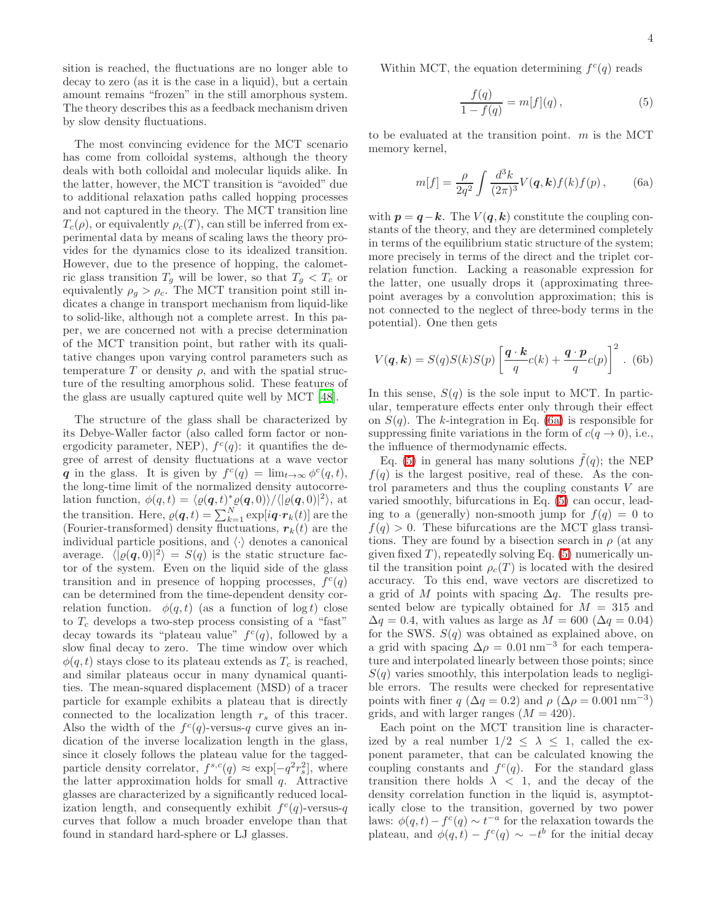sition is reached, the fluctuations are no longer able to decay to zero (as it is the case in a liquid), but a certain amount remains "frozen" in the still amorphous system. The theory describes this as a feedback mechanism driven by slow density fluctuations.

The most convincing evidence for the MCT scenario has come from colloidal systems, although the theory deals with both colloidal and molecular liquids alike. In the latter, however, the MCT transition is "avoided" due to additional relaxation paths called hopping processes and not captured in the theory. The MCT transition line  $T_c(\rho)$ , or equivalently  $\rho_c(T)$ , can still be inferred from experimental data by means of scaling laws the theory provides for the dynamics close to its idealized transition. However, due to the presence of hopping, the calometric glass transition  $T_g$  will be lower, so that  $T_g < T_c$  or equivalently  $\rho_g > \rho_c$ . The MCT transition point still indicates a change in transport mechanism from liquid-like to solid-like, although not a complete arrest. In this paper, we are concerned not with a precise determination of the MCT transition point, but rather with its qualitative changes upon varying control parameters such as temperature T or density  $\rho$ , and with the spatial structure of the resulting amorphous solid. These features of the glass are usually captured quite well by MCT [\[48](#page-9-39)].

The structure of the glass shall be characterized by its Debye-Waller factor (also called form factor or nonergodicity parameter, NEP),  $f^c(q)$ : it quantifies the degree of arrest of density fluctuations at a wave vector q in the glass. It is given by  $f^c(q) = \lim_{t \to \infty} \phi^c(q, t)$ , the long-time limit of the normalized density autocorrelation function,  $\phi(q,t) = \langle \varrho(q,t) \rangle \langle \varrho(q,0) \rangle / \langle \varrho(q,0) \rangle$ , at the transition. Here,  $\rho(\boldsymbol{q},t) = \sum_{k=1}^{N} \exp[i \boldsymbol{q} \cdot \boldsymbol{r}_k(t)]$  are the (Fourier-transformed) density fluctuations,  $r_k(t)$  are the individual particle positions, and  $\langle \cdot \rangle$  denotes a canonical average.  $\langle |\varrho(\mathbf{q}, 0)|^2 \rangle = S(q)$  is the static structure factor of the system. Even on the liquid side of the glass transition and in presence of hopping processes,  $f^c(q)$ can be determined from the time-dependent density correlation function.  $\phi(q, t)$  (as a function of log t) close to  $T_c$  develops a two-step process consisting of a "fast" decay towards its "plateau value"  $f^c(q)$ , followed by a slow final decay to zero. The time window over which  $\phi(q, t)$  stays close to its plateau extends as  $T_c$  is reached, and similar plateaus occur in many dynamical quantities. The mean-squared displacement (MSD) of a tracer particle for example exhibits a plateau that is directly connected to the localization length  $r_s$  of this tracer. Also the width of the  $f^c(q)$ -versus-q curve gives an indication of the inverse localization length in the glass, since it closely follows the plateau value for the taggedparticle density correlator,  $f^{s,c}(q) \approx \exp[-q^2 r_s^2]$ , where the latter approximation holds for small  $q$ . Attractive glasses are characterized by a significantly reduced localization length, and consequently exhibit  $f^c(q)$ -versus-q curves that follow a much broader envelope than that found in standard hard-sphere or LJ glasses.

Within MCT, the equation determining  $f^c(q)$  reads

<span id="page-3-1"></span>
$$
\frac{f(q)}{1 - f(q)} = m[f](q), \tag{5}
$$

<span id="page-3-0"></span>to be evaluated at the transition point.  $m$  is the MCT memory kernel,

$$
m[f] = \frac{\rho}{2q^2} \int \frac{d^3k}{(2\pi)^3} V(\mathbf{q}, \mathbf{k}) f(k) f(p) , \qquad (6a)
$$

with  $p = q - k$ . The  $V(q, k)$  constitute the coupling constants of the theory, and they are determined completely in terms of the equilibrium static structure of the system; more precisely in terms of the direct and the triplet correlation function. Lacking a reasonable expression for the latter, one usually drops it (approximating threepoint averages by a convolution approximation; this is not connected to the neglect of three-body terms in the potential). One then gets

$$
V(\boldsymbol{q}, \boldsymbol{k}) = S(q)S(k)S(p)\left[\frac{\boldsymbol{q} \cdot \boldsymbol{k}}{q}c(k) + \frac{\boldsymbol{q} \cdot \boldsymbol{p}}{q}c(p)\right]^2.
$$
 (6b)

In this sense,  $S(q)$  is the sole input to MCT. In particular, temperature effects enter only through their effect on  $S(q)$ . The k-integration in Eq. [\(6a\)](#page-3-0) is responsible for suppressing finite variations in the form of  $c(q \to 0)$ , i.e., the influence of thermodynamic effects.

Eq. [\(5\)](#page-3-1) in general has many solutions  $\hat{f}(q)$ ; the NEP  $f(q)$  is the largest positive, real of these. As the control parameters and thus the coupling constants V are varied smoothly, bifurcations in Eq. [\(5\)](#page-3-1) can occur, leading to a (generally) non-smooth jump for  $f(q) = 0$  to  $f(q) > 0$ . These bifurcations are the MCT glass transitions. They are found by a bisection search in  $\rho$  (at any given fixed  $T$ ), repeatedly solving Eq. [\(5\)](#page-3-1) numerically until the transition point  $\rho_c(T)$  is located with the desired accuracy. To this end, wave vectors are discretized to a grid of M points with spacing  $\Delta q$ . The results presented below are typically obtained for  $M = 315$  and  $\Delta q = 0.4$ , with values as large as  $M = 600 \; (\Delta q = 0.04)$ for the SWS.  $S(q)$  was obtained as explained above, on a grid with spacing  $\Delta \rho = 0.01 \text{ nm}^{-3}$  for each temperature and interpolated linearly between those points; since  $S(q)$  varies smoothly, this interpolation leads to negligible errors. The results were checked for representative points with finer  $q \ (\Delta q = 0.2)$  and  $\rho \ (\Delta \rho = 0.001 \,\text{nm}^{-3})$ grids, and with larger ranges  $(M = 420)$ .

Each point on the MCT transition line is characterized by a real number  $1/2 \leq \lambda \leq 1$ , called the exponent parameter, that can be calculated knowing the coupling constants and  $f^c(q)$ . For the standard glass transition there holds  $\lambda$  < 1, and the decay of the density correlation function in the liquid is, asymptotically close to the transition, governed by two power laws:  $\phi(q,t) - f^c(q) \sim t^{-a}$  for the relaxation towards the plateau, and  $\phi(q,t) - f^c(q) \sim -t^b$  for the initial decay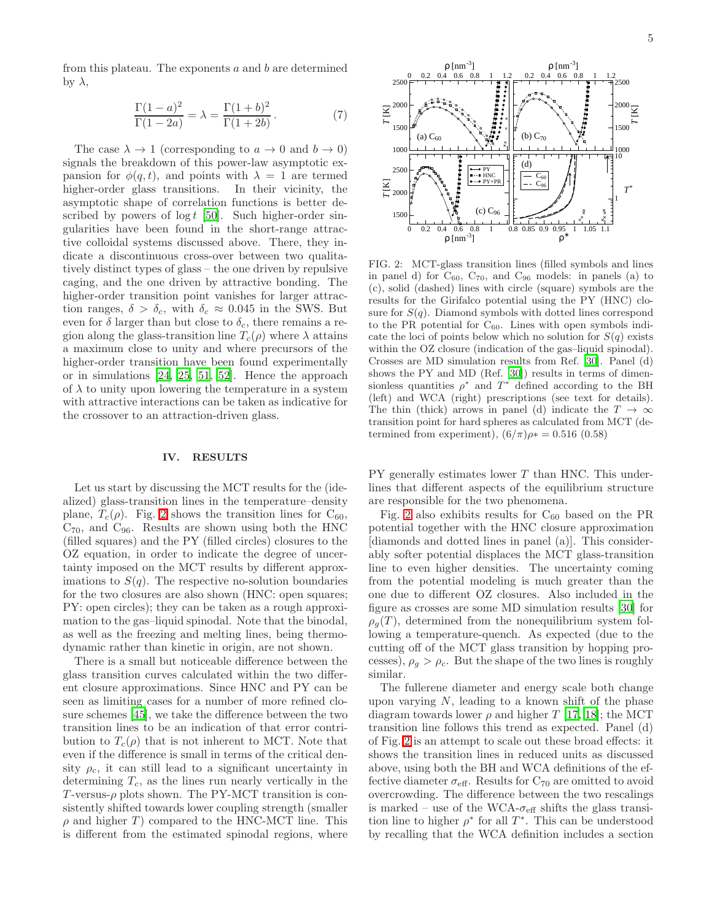<span id="page-4-2"></span>from this plateau. The exponents  $a$  and  $b$  are determined by λ,

$$
\frac{\Gamma(1-a)^2}{\Gamma(1-2a)} = \lambda = \frac{\Gamma(1+b)^2}{\Gamma(1+2b)}.
$$
 (7)

The case  $\lambda \to 1$  (corresponding to  $a \to 0$  and  $b \to 0$ ) signals the breakdown of this power-law asymptotic expansion for  $\phi(q, t)$ , and points with  $\lambda = 1$  are termed higher-order glass transitions. In their vicinity, the asymptotic shape of correlation functions is better described by powers of  $\log t$  [\[50\]](#page-9-41). Such higher-order singularities have been found in the short-range attractive colloidal systems discussed above. There, they indicate a discontinuous cross-over between two qualitatively distinct types of glass – the one driven by repulsive caging, and the one driven by attractive bonding. The higher-order transition point vanishes for larger attraction ranges,  $\delta > \delta_c$ , with  $\delta_c \approx 0.045$  in the SWS. But even for  $\delta$  larger than but close to  $\delta_c$ , there remains a region along the glass-transition line  $T_c(\rho)$  where  $\lambda$  attains a maximum close to unity and where precursors of the higher-order transition have been found experimentally or in simulations [\[24,](#page-9-15) [25](#page-9-16), [51,](#page-9-42) [52\]](#page-9-43). Hence the approach of  $\lambda$  to unity upon lowering the temperature in a system with attractive interactions can be taken as indicative for the crossover to an attraction-driven glass.

#### IV. RESULTS

<span id="page-4-0"></span>Let us start by discussing the MCT results for the (idealized) glass-transition lines in the temperature–density plane,  $T_c(\rho)$ . Fig. [2](#page-4-1) shows the transition lines for  $C_{60}$ ,  $C_{70}$ , and  $C_{96}$ . Results are shown using both the HNC (filled squares) and the PY (filled circles) closures to the OZ equation, in order to indicate the degree of uncertainty imposed on the MCT results by different approximations to  $S(q)$ . The respective no-solution boundaries for the two closures are also shown (HNC: open squares; PY: open circles); they can be taken as a rough approximation to the gas–liquid spinodal. Note that the binodal, as well as the freezing and melting lines, being thermodynamic rather than kinetic in origin, are not shown.

There is a small but noticeable difference between the glass transition curves calculated within the two different closure approximations. Since HNC and PY can be seen as limiting cases for a number of more refined closure schemes [\[45\]](#page-9-36), we take the difference between the two transition lines to be an indication of that error contribution to  $T_c(\rho)$  that is not inherent to MCT. Note that even if the difference is small in terms of the critical density  $\rho_c$ , it can still lead to a significant uncertainty in determining  $T_c$ , as the lines run nearly vertically in the T-versus- $\rho$  plots shown. The PY-MCT transition is consistently shifted towards lower coupling strength (smaller  $\rho$  and higher T ) compared to the HNC-MCT line. This is different from the estimated spinodal regions, where



<span id="page-4-1"></span>FIG. 2: MCT-glass transition lines (filled symbols and lines in panel d) for  $C_{60}$ ,  $C_{70}$ , and  $C_{96}$  models: in panels (a) to (c), solid (dashed) lines with circle (square) symbols are the results for the Girifalco potential using the PY (HNC) closure for  $S(q)$ . Diamond symbols with dotted lines correspond to the PR potential for  $C_{60}$ . Lines with open symbols indicate the loci of points below which no solution for  $S(q)$  exists within the OZ closure (indication of the gas-liquid spinodal). Crosses are MD simulation results from Ref. [\[30](#page-9-21)]. Panel (d) shows the PY and MD (Ref. [\[30\]](#page-9-21)) results in terms of dimensionless quantities  $\rho^*$  and  $T^*$  defined according to the BH (left) and WCA (right) prescriptions (see text for details). The thin (thick) arrows in panel (d) indicate the  $T \to \infty$ transition point for hard spheres as calculated from MCT (determined from experiment),  $(6/\pi)\rho$ <sup>\*</sup> = 0.516 (0.58)

PY generally estimates lower T than HNC. This underlines that different aspects of the equilibrium structure are responsible for the two phenomena.

Fig. [2](#page-4-1) also exhibits results for  $C_{60}$  based on the PR potential together with the HNC closure approximation [diamonds and dotted lines in panel (a)]. This considerably softer potential displaces the MCT glass-transition line to even higher densities. The uncertainty coming from the potential modeling is much greater than the one due to different OZ closures. Also included in the figure as crosses are some MD simulation results [\[30](#page-9-21)] for  $\rho_q(T)$ , determined from the nonequilibrium system following a temperature-quench. As expected (due to the cutting off of the MCT glass transition by hopping processes),  $\rho_g > \rho_c$ . But the shape of the two lines is roughly similar.

The fullerene diameter and energy scale both change upon varying  $N$ , leading to a known shift of the phase diagram towards lower  $\rho$  and higher T [\[17,](#page-9-8) [18](#page-9-9)]; the MCT transition line follows this trend as expected. Panel (d) of Fig. [2](#page-4-1) is an attempt to scale out these broad effects: it shows the transition lines in reduced units as discussed above, using both the BH and WCA definitions of the effective diameter  $\sigma_{\text{eff}}$ . Results for  $C_{70}$  are omitted to avoid overcrowding. The difference between the two rescalings is marked – use of the WCA- $\sigma_{\text{eff}}$  shifts the glass transition line to higher  $\rho^*$  for all  $T^*$ . This can be understood by recalling that the WCA definition includes a section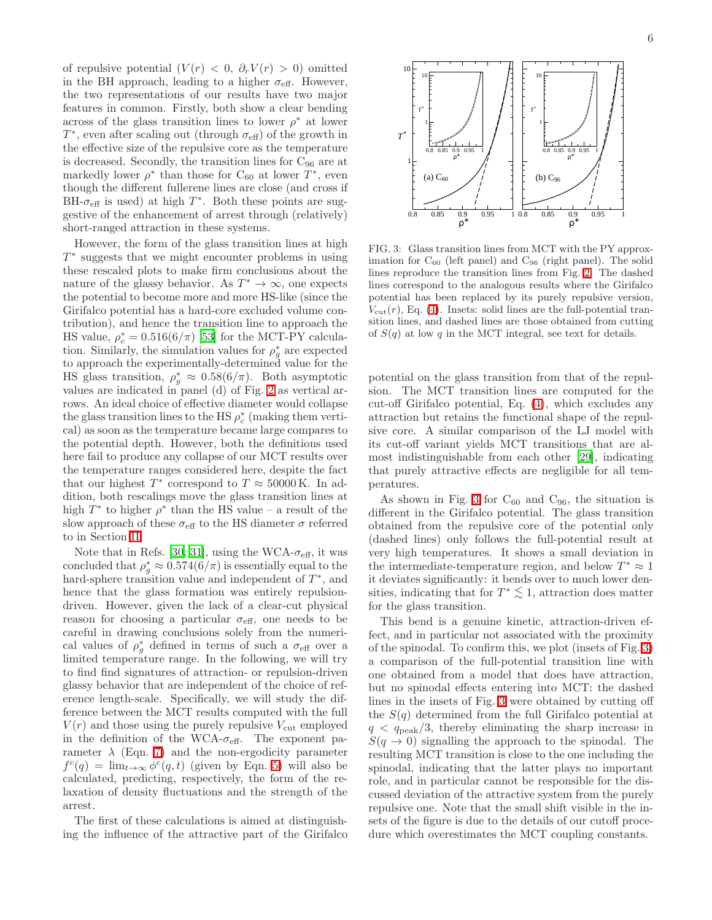of repulsive potential  $(V(r) < 0, \partial_r V(r) > 0)$  omitted in the BH approach, leading to a higher  $\sigma_{\text{eff}}$ . However, the two representations of our results have two major features in common. Firstly, both show a clear bending across of the glass transition lines to lower  $\rho^*$  at lower  $T^*$ , even after scaling out (through  $\sigma_{\text{eff}}$ ) of the growth in the effective size of the repulsive core as the temperature is decreased. Secondly, the transition lines for  $C_{96}$  are at markedly lower  $\rho^*$  than those for C<sub>60</sub> at lower  $T^*$ , even though the different fullerene lines are close (and cross if BH- $\sigma_{\text{eff}}$  is used) at high  $T^*$ . Both these points are suggestive of the enhancement of arrest through (relatively) short-ranged attraction in these systems.

However, the form of the glass transition lines at high  $T^*$  suggests that we might encounter problems in using these rescaled plots to make firm conclusions about the nature of the glassy behavior. As  $T^* \to \infty$ , one expects the potential to become more and more HS-like (since the Girifalco potential has a hard-core excluded volume contribution), and hence the transition line to approach the HS value,  $\rho_c^* = 0.516(6/\pi)$  [\[53\]](#page-9-44) for the MCT-PY calculation. Similarly, the simulation values for  $\rho_g^*$  are expected to approach the experimentally-determined value for the HS glass transition,  $\rho_g^* \approx 0.58(6/\pi)$ . Both asymptotic values are indicated in panel (d) of Fig. [2](#page-4-1) as vertical arrows. An ideal choice of effective diameter would collapse the glass transition lines to the HS  $\rho_c^*$  (making them vertical) as soon as the temperature became large compares to the potential depth. However, both the definitions used here fail to produce any collapse of our MCT results over the temperature ranges considered here, despite the fact that our highest  $T^*$  correspond to  $T \approx 50000 \text{ K}$ . In addition, both rescalings move the glass transition lines at high  $T^*$  to higher  $\rho^*$  than the HS value – a result of the slow approach of these  $\sigma_{\text{eff}}$  to the HS diameter  $\sigma$  referred to in Section [II.](#page-1-0)

Note that in Refs. [\[30,](#page-9-21) [31\]](#page-9-22), using the WCA- $\sigma_{\text{eff}}$ , it was concluded that  $\rho_g^* \approx 0.574(6/\pi)$  is essentially equal to the hard-sphere transition value and independent of  $T^*$ , and hence that the glass formation was entirely repulsiondriven. However, given the lack of a clear-cut physical reason for choosing a particular  $\sigma_{\text{eff}}$ , one needs to be careful in drawing conclusions solely from the numerical values of  $\rho_g^*$  defined in terms of such a  $\sigma_{\text{eff}}$  over a limited temperature range. In the following, we will try to find find signatures of attraction- or repulsion-driven glassy behavior that are independent of the choice of reference length-scale. Specifically, we will study the difference between the MCT results computed with the full  $V(r)$  and those using the purely repulsive  $V_{\text{cut}}$  employed in the definition of the WCA- $\sigma_{\text{eff}}$ . The exponent parameter  $\lambda$  (Eqn. [7\)](#page-4-2) and the non-ergodicity parameter  $f^c(q) = \lim_{t \to \infty} \phi^c(q, t)$  (given by Eqn. [5\)](#page-3-1) will also be calculated, predicting, respectively, the form of the relaxation of density fluctuations and the strength of the arrest.

The first of these calculations is aimed at distinguishing the influence of the attractive part of the Girifalco



<span id="page-5-0"></span>FIG. 3: Glass transition lines from MCT with the PY approximation for  $C_{60}$  (left panel) and  $C_{96}$  (right panel). The solid lines reproduce the transition lines from Fig. [2.](#page-4-1) The dashed lines correspond to the analogous results where the Girifalco potential has been replaced by its purely repulsive version,  $V_{\text{cut}}(r)$ , Eq. [\(4\)](#page-2-2). Insets: solid lines are the full-potential transition lines, and dashed lines are those obtained from cutting of  $S(q)$  at low q in the MCT integral, see text for details.

potential on the glass transition from that of the repulsion. The MCT transition lines are computed for the cut-off Girifalco potential, Eq. [\(4\)](#page-2-2), which excludes any attraction but retains the functional shape of the repulsive core. A similar comparison of the LJ model with its cut-off variant yields MCT transitions that are almost indistinguishable from each other [\[29\]](#page-9-20), indicating that purely attractive effects are negligible for all temperatures.

As shown in Fig. [3](#page-5-0) for  $C_{60}$  and  $C_{96}$ , the situation is different in the Girifalco potential. The glass transition obtained from the repulsive core of the potential only (dashed lines) only follows the full-potential result at very high temperatures. It shows a small deviation in the intermediate-temperature region, and below  $T^* \approx 1$ it deviates significantly: it bends over to much lower densities, indicating that for  $T^* \lesssim 1$ , attraction does matter<br>for the glass transition for the glass transition.

This bend is a genuine kinetic, attraction-driven effect, and in particular not associated with the proximity of the spinodal. To confirm this, we plot (insets of Fig. [3\)](#page-5-0) a comparison of the full-potential transition line with one obtained from a model that does have attraction, but no spinodal effects entering into MCT: the dashed lines in the insets of Fig. [3](#page-5-0) were obtained by cutting off the  $S(q)$  determined from the full Girifalco potential at  $q < q_{\text{peak}}/3$ , thereby eliminating the sharp increase in  $S(q \rightarrow 0)$  signalling the approach to the spinodal. The resulting MCT transition is close to the one including the spinodal, indicating that the latter plays no important role, and in particular cannot be responsible for the discussed deviation of the attractive system from the purely repulsive one. Note that the small shift visible in the insets of the figure is due to the details of our cutoff procedure which overestimates the MCT coupling constants.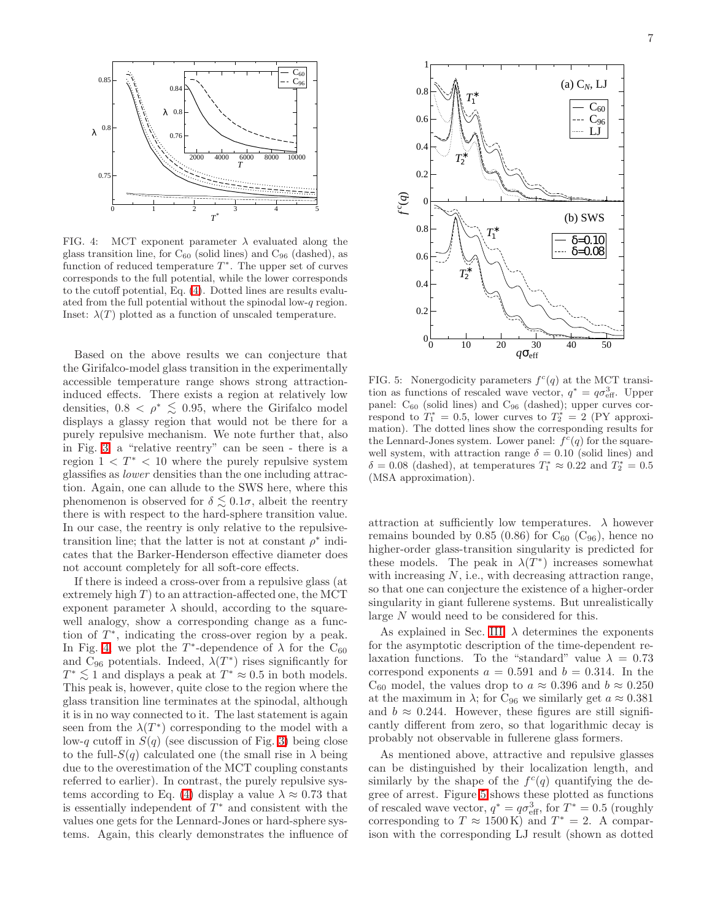

<span id="page-6-0"></span>FIG. 4: MCT exponent parameter  $\lambda$  evaluated along the glass transition line, for  $C_{60}$  (solid lines) and  $C_{96}$  (dashed), as function of reduced temperature  $T^*$ . The upper set of curves corresponds to the full potential, while the lower corresponds to the cutoff potential, Eq. [\(4\)](#page-2-2). Dotted lines are results evaluated from the full potential without the spinodal low-q region. Inset:  $\lambda(T)$  plotted as a function of unscaled temperature.

Based on the above results we can conjecture that the Girifalco-model glass transition in the experimentally accessible temperature range shows strong attractioninduced effects. There exists a region at relatively low densities,  $0.8 < \rho^* \leq 0.95$ , where the Girifalco model displays a glassy region that would not be there for a purely repulsive mechanism. We note further that, also in Fig. [3,](#page-5-0) a "relative reentry" can be seen - there is a region  $1 < T^* < 10$  where the purely repulsive system glassifies as lower densities than the one including attraction. Again, one can allude to the SWS here, where this phenomenon is observed for  $\delta \lesssim 0.1\sigma$ , albeit the reentry there is with respect to the hard-sphere transition value. In our case, the reentry is only relative to the repulsivetransition line; that the latter is not at constant  $\rho^*$  indicates that the Barker-Henderson effective diameter does not account completely for all soft-core effects.

If there is indeed a cross-over from a repulsive glass (at extremely high  $T$ ) to an attraction-affected one, the MCT exponent parameter  $\lambda$  should, according to the squarewell analogy, show a corresponding change as a function of  $T^*$ , indicating the cross-over region by a peak. In Fig. [4,](#page-6-0) we plot the  $T^*$ -dependence of  $\lambda$  for the C<sub>60</sub> and  $\tilde{C}_{96}$  potentials. Indeed,  $\lambda(T^*)$  rises significantly for  $T^* \lesssim 1$  and displays a peak at  $T^* \approx 0.5$  in both models.<br>This poak is bowever, quite along to the racion where the This peak is, however, quite close to the region where the glass transition line terminates at the spinodal, although it is in no way connected to it. The last statement is again seen from the  $\lambda(T^*)$  corresponding to the model with a low-q cutoff in  $S(q)$  (see discussion of Fig. [3\)](#page-5-0) being close to the full- $S(q)$  calculated one (the small rise in  $\lambda$  being due to the overestimation of the MCT coupling constants referred to earlier). In contrast, the purely repulsive sys-tems according to Eq. [\(4\)](#page-2-2) display a value  $\lambda \approx 0.73$  that is essentially independent of  $T^*$  and consistent with the values one gets for the Lennard-Jones or hard-sphere systems. Again, this clearly demonstrates the influence of



<span id="page-6-1"></span>FIG. 5: Nonergodicity parameters  $f^c(q)$  at the MCT transition as functions of rescaled wave vector,  $q^* = q\sigma_{\text{eff}}^3$ . Upper panel:  $C_{60}$  (solid lines) and  $C_{96}$  (dashed); upper curves correspond to  $T_1^* = 0.5$ , lower curves to  $T_2^* = 2$  (PY approximation). The dotted lines show the corresponding results for the Lennard-Jones system. Lower panel:  $f^c(q)$  for the squarewell system, with attraction range  $\delta = 0.10$  (solid lines) and  $\delta = 0.08$  (dashed), at temperatures  $T_1^* \approx 0.22$  and  $T_2^* = 0.5$ (MSA approximation).

attraction at sufficiently low temperatures.  $\lambda$  however remains bounded by 0.85 (0.86) for  $C_{60}$  ( $C_{96}$ ), hence no higher-order glass-transition singularity is predicted for these models. The peak in  $\lambda(T^*)$  increases somewhat with increasing  $N$ , i.e., with decreasing attraction range, so that one can conjecture the existence of a higher-order singularity in giant fullerene systems. But unrealistically large N would need to be considered for this.

As explained in Sec. [III,](#page-2-0)  $\lambda$  determines the exponents for the asymptotic description of the time-dependent relaxation functions. To the "standard" value  $\lambda = 0.73$ correspond exponents  $a = 0.591$  and  $b = 0.314$ . In the  $C_{60}$  model, the values drop to  $a \approx 0.396$  and  $b \approx 0.250$ at the maximum in  $\lambda$ ; for C<sub>96</sub> we similarly get  $a \approx 0.381$ and  $b \approx 0.244$ . However, these figures are still significantly different from zero, so that logarithmic decay is probably not observable in fullerene glass formers.

As mentioned above, attractive and repulsive glasses can be distinguished by their localization length, and similarly by the shape of the  $f^c(q)$  quantifying the degree of arrest. Figure [5](#page-6-1) shows these plotted as functions of rescaled wave vector,  $q^* = q\sigma_{\text{eff}}^3$ , for  $T^* = 0.5$  (roughly corresponding to  $T \approx 1500 \text{ K}$  and  $T^* = 2$ . A comparison with the corresponding LJ result (shown as dotted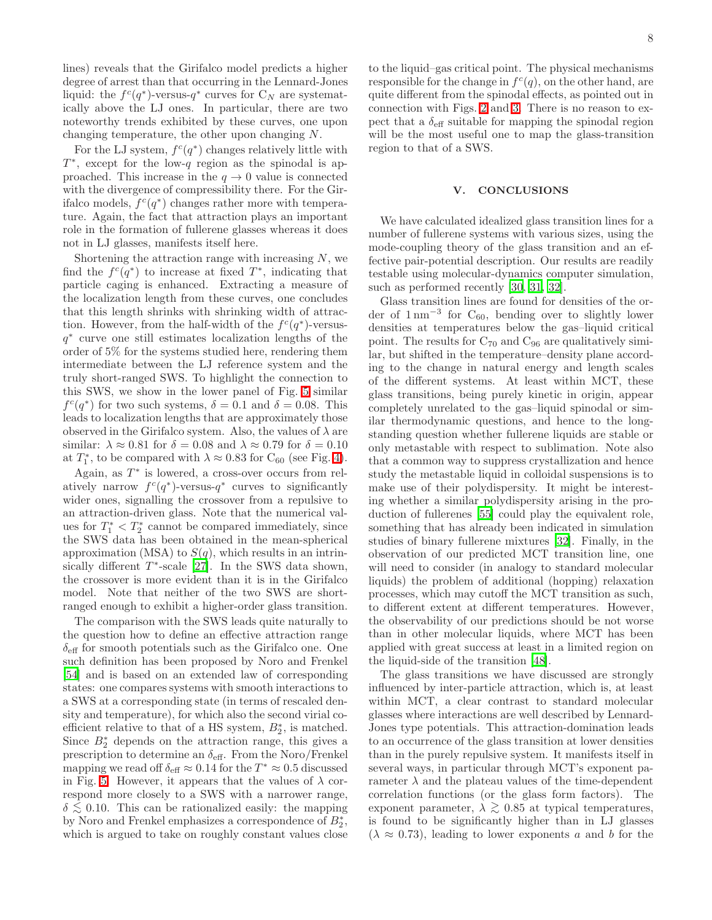lines) reveals that the Girifalco model predicts a higher degree of arrest than that occurring in the Lennard-Jones liquid: the  $f^c(q^*)$ -versus- $q^*$  curves for  $C_N$  are systematically above the LJ ones. In particular, there are two noteworthy trends exhibited by these curves, one upon changing temperature, the other upon changing N.

For the LJ system,  $f^c(q^*)$  changes relatively little with  $T^*$ , except for the low-q region as the spinodal is approached. This increase in the  $q \to 0$  value is connected with the divergence of compressibility there. For the Girifalco models,  $f^c(q^*)$  changes rather more with temperature. Again, the fact that attraction plays an important role in the formation of fullerene glasses whereas it does not in LJ glasses, manifests itself here.

Shortening the attraction range with increasing  $N$ , we find the  $f^c(q^*)$  to increase at fixed  $T^*$ , indicating that particle caging is enhanced. Extracting a measure of the localization length from these curves, one concludes that this length shrinks with shrinking width of attraction. However, from the half-width of the  $f^c(q^*)$ -versusq ∗ curve one still estimates localization lengths of the order of 5% for the systems studied here, rendering them intermediate between the LJ reference system and the truly short-ranged SWS. To highlight the connection to this SWS, we show in the lower panel of Fig. [5](#page-6-1) similar  $f^c(q^*)$  for two such systems,  $\delta = 0.1$  and  $\delta = 0.08$ . This leads to localization lengths that are approximately those observed in the Girifalco system. Also, the values of  $\lambda$  are similar:  $\lambda \approx 0.81$  for  $\delta = 0.08$  and  $\lambda \approx 0.79$  for  $\delta = 0.10$ at  $T_1^*$ , to be compared with  $\lambda \approx 0.83$  for  $C_{60}$  (see Fig. [4\)](#page-6-0).

Again, as  $T^*$  is lowered, a cross-over occurs from relatively narrow  $f^c(q^*)$ -versus- $q^*$  curves to significantly wider ones, signalling the crossover from a repulsive to an attraction-driven glass. Note that the numerical values for  $T_1^* < T_2^*$  cannot be compared immediately, since the SWS data has been obtained in the mean-spherical approximation (MSA) to  $S(q)$ , which results in an intrinsically different  $T^*$ -scale [\[27](#page-9-18)]. In the SWS data shown, the crossover is more evident than it is in the Girifalco model. Note that neither of the two SWS are shortranged enough to exhibit a higher-order glass transition.

The comparison with the SWS leads quite naturally to the question how to define an effective attraction range  $\delta_{\text{eff}}$  for smooth potentials such as the Girifalco one. One such definition has been proposed by Noro and Frenkel [\[54\]](#page-9-45) and is based on an extended law of corresponding states: one compares systems with smooth interactions to a SWS at a corresponding state (in terms of rescaled density and temperature), for which also the second virial coefficient relative to that of a HS system,  $B_2^*$ , is matched. Since  $B_2^*$  depends on the attraction range, this gives a prescription to determine an  $\delta_{\text{eff}}$ . From the Noro/Frenkel mapping we read off  $\delta_{\text{eff}} \approx 0.14$  for the  $T^* \approx 0.5$  discussed in Fig. [5.](#page-6-1) However, it appears that the values of  $\lambda$  correspond more closely to a SWS with a narrower range,  $\delta \lesssim 0.10$ . This can be rationalized easily: the mapping by Noro and Frenkel emphasizes a correspondence of  $B_2^*$ , which is argued to take on roughly constant values close

to the liquid–gas critical point. The physical mechanisms responsible for the change in  $f^c(q)$ , on the other hand, are quite different from the spinodal effects, as pointed out in connection with Figs. [2](#page-4-1) and [3.](#page-5-0) There is no reason to expect that a  $\delta_{\text{eff}}$  suitable for mapping the spinodal region will be the most useful one to map the glass-transition region to that of a SWS.

## V. CONCLUSIONS

<span id="page-7-0"></span>We have calculated idealized glass transition lines for a number of fullerene systems with various sizes, using the mode-coupling theory of the glass transition and an effective pair-potential description. Our results are readily testable using molecular-dynamics computer simulation, such as performed recently [\[30,](#page-9-21) [31,](#page-9-22) [32\]](#page-9-23).

Glass transition lines are found for densities of the order of  $1 \text{ nm}^{-3}$  for  $\text{C}_{60}$ , bending over to slightly lower densities at temperatures below the gas–liquid critical point. The results for  $C_{70}$  and  $C_{96}$  are qualitatively similar, but shifted in the temperature–density plane according to the change in natural energy and length scales of the different systems. At least within MCT, these glass transitions, being purely kinetic in origin, appear completely unrelated to the gas–liquid spinodal or similar thermodynamic questions, and hence to the longstanding question whether fullerene liquids are stable or only metastable with respect to sublimation. Note also that a common way to suppress crystallization and hence study the metastable liquid in colloidal suspensions is to make use of their polydispersity. It might be interesting whether a similar polydispersity arising in the production of fullerenes [\[55\]](#page-9-46) could play the equivalent role, something that has already been indicated in simulation studies of binary fullerene mixtures [\[32](#page-9-23)]. Finally, in the observation of our predicted MCT transition line, one will need to consider (in analogy to standard molecular liquids) the problem of additional (hopping) relaxation processes, which may cutoff the MCT transition as such, to different extent at different temperatures. However, the observability of our predictions should be not worse than in other molecular liquids, where MCT has been applied with great success at least in a limited region on the liquid-side of the transition [\[48\]](#page-9-39).

The glass transitions we have discussed are strongly influenced by inter-particle attraction, which is, at least within MCT, a clear contrast to standard molecular glasses where interactions are well described by Lennard-Jones type potentials. This attraction-domination leads to an occurrence of the glass transition at lower densities than in the purely repulsive system. It manifests itself in several ways, in particular through MCT's exponent parameter  $\lambda$  and the plateau values of the time-dependent correlation functions (or the glass form factors). The exponent parameter,  $\lambda \gtrsim 0.85$  at typical temperatures, is found to be significantly higher than in LJ glasses  $(\lambda \approx 0.73)$ , leading to lower exponents a and b for the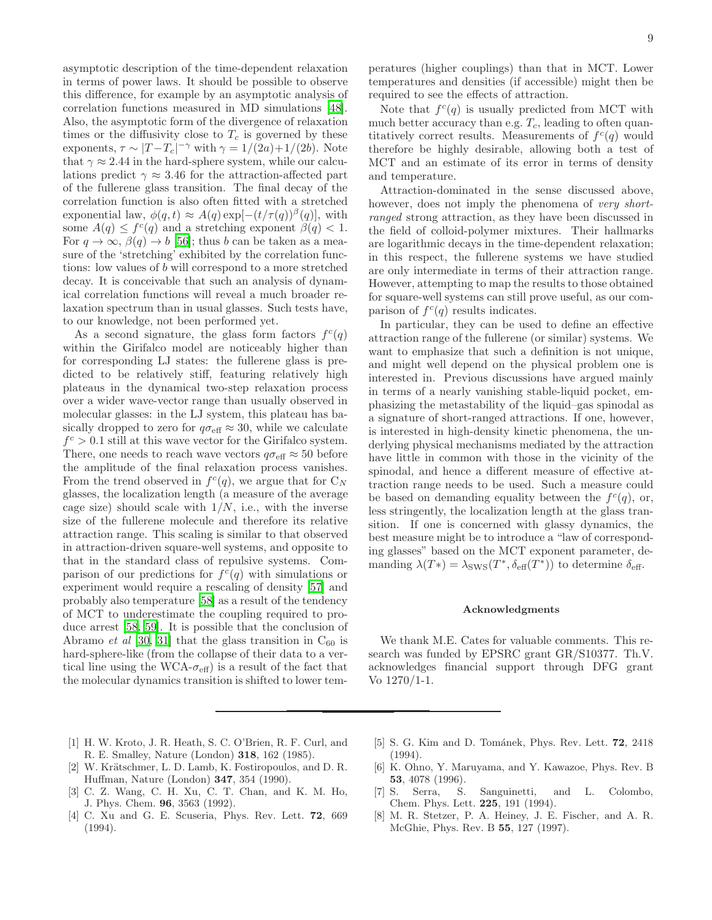asymptotic description of the time-dependent relaxation in terms of power laws. It should be possible to observe this difference, for example by an asymptotic analysis of correlation functions measured in MD simulations [\[48\]](#page-9-39). Also, the asymptotic form of the divergence of relaxation times or the diffusivity close to  $T_c$  is governed by these exponents,  $\tau \sim |T-T_c|^{-\gamma}$  with  $\gamma = 1/(2a) + 1/(2b)$ . Note that  $\gamma \approx 2.44$  in the hard-sphere system, while our calculations predict  $\gamma \approx 3.46$  for the attraction-affected part of the fullerene glass transition. The final decay of the correlation function is also often fitted with a stretched exponential law,  $\phi(q, t) \approx A(q) \exp[-(t/\tau(q))^{\beta}(q)]$ , with some  $A(q) \leq f^c(q)$  and a stretching exponent  $\beta(q) < 1$ . For  $q \to \infty$ ,  $\beta(q) \to b$  [\[56](#page-9-47)]; thus b can be taken as a measure of the 'stretching' exhibited by the correlation functions: low values of b will correspond to a more stretched decay. It is conceivable that such an analysis of dynamical correlation functions will reveal a much broader relaxation spectrum than in usual glasses. Such tests have, to our knowledge, not been performed yet.

As a second signature, the glass form factors  $f^c(q)$ within the Girifalco model are noticeably higher than for corresponding LJ states: the fullerene glass is predicted to be relatively stiff, featuring relatively high plateaus in the dynamical two-step relaxation process over a wider wave-vector range than usually observed in molecular glasses: in the LJ system, this plateau has basically dropped to zero for  $q\sigma_{\text{eff}} \approx 30$ , while we calculate  $f<sup>c</sup> > 0.1$  still at this wave vector for the Girifalco system. There, one needs to reach wave vectors  $q\sigma_{\text{eff}} \approx 50$  before the amplitude of the final relaxation process vanishes. From the trend observed in  $f^c(q)$ , we argue that for  $C_N$ glasses, the localization length (a measure of the average cage size) should scale with  $1/N$ , i.e., with the inverse size of the fullerene molecule and therefore its relative attraction range. This scaling is similar to that observed in attraction-driven square-well systems, and opposite to that in the standard class of repulsive systems. Comparison of our predictions for  $f^c(q)$  with simulations or experiment would require a rescaling of density [\[57\]](#page-9-48) and probably also temperature [\[58\]](#page-9-49) as a result of the tendency of MCT to underestimate the coupling required to produce arrest [\[58,](#page-9-49) [59\]](#page-9-50). It is possible that the conclusion of Abramo *et al* [\[30,](#page-9-21) [31](#page-9-22)] that the glass transition in  $C_{60}$  is hard-sphere-like (from the collapse of their data to a vertical line using the WCA- $\sigma_{\text{eff}}$ ) is a result of the fact that the molecular dynamics transition is shifted to lower temperatures (higher couplings) than that in MCT. Lower temperatures and densities (if accessible) might then be required to see the effects of attraction.

Note that  $f^c(q)$  is usually predicted from MCT with much better accuracy than e.g.  $T_c$ , leading to often quantitatively correct results. Measurements of  $f^c(q)$  would therefore be highly desirable, allowing both a test of MCT and an estimate of its error in terms of density and temperature.

Attraction-dominated in the sense discussed above, however, does not imply the phenomena of very shortranged strong attraction, as they have been discussed in the field of colloid-polymer mixtures. Their hallmarks are logarithmic decays in the time-dependent relaxation; in this respect, the fullerene systems we have studied are only intermediate in terms of their attraction range. However, attempting to map the results to those obtained for square-well systems can still prove useful, as our comparison of  $f^c(q)$  results indicates.

In particular, they can be used to define an effective attraction range of the fullerene (or similar) systems. We want to emphasize that such a definition is not unique, and might well depend on the physical problem one is interested in. Previous discussions have argued mainly in terms of a nearly vanishing stable-liquid pocket, emphasizing the metastability of the liquid–gas spinodal as a signature of short-ranged attractions. If one, however, is interested in high-density kinetic phenomena, the underlying physical mechanisms mediated by the attraction have little in common with those in the vicinity of the spinodal, and hence a different measure of effective attraction range needs to be used. Such a measure could be based on demanding equality between the  $f^c(q)$ , or, less stringently, the localization length at the glass transition. If one is concerned with glassy dynamics, the best measure might be to introduce a "law of corresponding glasses" based on the MCT exponent parameter, demanding  $\lambda(T^*) = \lambda_{\text{SWS}}(T^*, \delta_{\text{eff}}(T^*))$  to determine  $\delta_{\text{eff}}$ .

### Acknowledgments

We thank M.E. Cates for valuable comments. This research was funded by EPSRC grant GR/S10377. Th.V. acknowledges financial support through DFG grant Vo 1270/1-1.

- <span id="page-8-0"></span>[1] H. W. Kroto, J. R. Heath, S. C. O'Brien, R. F. Curl, and R. E. Smalley, Nature (London) 318, 162 (1985).
- <span id="page-8-1"></span>[2] W. Krätschmer, L. D. Lamb, K. Fostiropoulos, and D. R. Huffman, Nature (London) 347, 354 (1990).
- <span id="page-8-2"></span>[3] C. Z. Wang, C. H. Xu, C. T. Chan, and K. M. Ho, J. Phys. Chem. 96, 3563 (1992).
- <span id="page-8-3"></span>[4] C. Xu and G. E. Scuseria, Phys. Rev. Lett. 72, 669 (1994).
- <span id="page-8-4"></span>[5] S. G. Kim and D. Tománek, Phys. Rev. Lett. **72**, 2418 (1994).
- <span id="page-8-5"></span>[6] K. Ohno, Y. Maruyama, and Y. Kawazoe, Phys. Rev. B **53**, 4078 (1996).<br>S. Serra, S.
- <span id="page-8-6"></span>[7] S. Serra, S. Sanguinetti, and L. Colombo, Chem. Phys. Lett. 225, 191 (1994).
- <span id="page-8-7"></span>[8] M. R. Stetzer, P. A. Heiney, J. E. Fischer, and A. R. McGhie, Phys. Rev. B 55, 127 (1997).